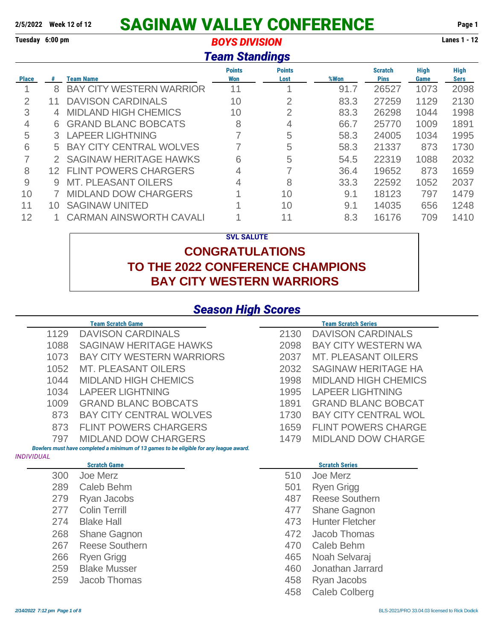# **2/5/2022 Week 12 of 12 SAGINAW VALLEY CONFERENCE Page 1**

#### **Tuesday 6:00 pm** *BOYS DIVISION* **Lanes 1 - 12** *Team Standings*

|              |    |                                 | <u>i eam Standings</u>      |                       |      |                               |                     |                            |
|--------------|----|---------------------------------|-----------------------------|-----------------------|------|-------------------------------|---------------------|----------------------------|
| <b>Place</b> | #  | <b>Team Name</b>                | <b>Points</b><br><b>Won</b> | <b>Points</b><br>Lost | %Won | <b>Scratch</b><br><b>Pins</b> | <b>High</b><br>Game | <b>High</b><br><b>Sers</b> |
| и            | 8  | <b>BAY CITY WESTERN WARRIOR</b> | 11                          |                       | 91.7 | 26527                         | 1073                | 2098                       |
| 2            | 11 | <b>DAVISON CARDINALS</b>        | 10                          | 2                     | 83.3 | 27259                         | 1129                | 2130                       |
| 3            | 4  | <b>MIDLAND HIGH CHEMICS</b>     | 10                          | 2                     | 83.3 | 26298                         | 1044                | 1998                       |
| 4            | 6  | <b>GRAND BLANC BOBCATS</b>      | 8                           | 4                     | 66.7 | 25770                         | 1009                | 1891                       |
| 5            |    | 3 LAPEER LIGHTNING              |                             | 5                     | 58.3 | 24005                         | 1034                | 1995                       |
| 6            | 5. | <b>BAY CITY CENTRAL WOLVES</b>  |                             | 5                     | 58.3 | 21337                         | 873                 | 1730                       |
| 7            | 2. | <b>SAGINAW HERITAGE HAWKS</b>   | 6                           | 5                     | 54.5 | 22319                         | 1088                | 2032                       |
| 8            |    | 12 FLINT POWERS CHARGERS        | 4                           |                       | 36.4 | 19652                         | 873                 | 1659                       |
| 9            | 9  | <b>MT. PLEASANT OILERS</b>      | 4                           | 8                     | 33.3 | 22592                         | 1052                | 2037                       |
| 10           |    | <b>MIDLAND DOW CHARGERS</b>     |                             | 10                    | 9.1  | 18123                         | 797                 | 1479                       |
| 11           | 10 | <b>SAGINAW UNITED</b>           |                             | 10                    | 9.1  | 14035                         | 656                 | 1248                       |
| 12           |    | <b>CARMAN AINSWORTH CAVALI</b>  |                             | 11                    | 8.3  | 16176                         | 709                 | 1410                       |

#### **SVL SALUTE**

### **CONGRATULATIONS TO THE 2022 CONFERENCE CHAMPIONS BAY CITY WESTERN WARRIORS**

### *Season High Scores*

|                   | <b>Team Scratch Game</b>                                                               |            | <b>Team Scratch Series</b>                    |
|-------------------|----------------------------------------------------------------------------------------|------------|-----------------------------------------------|
| 1129              | <b>DAVISON CARDINALS</b>                                                               | 2130       | <b>DAVISON CARDINALS</b>                      |
| 1088              | <b>SAGINAW HERITAGE HAWKS</b>                                                          | 2098       | <b>BAY CITY WESTERN WA</b>                    |
| 1073              | <b>BAY CITY WESTERN WARRIORS</b>                                                       | 2037       | <b>MT. PLEASANT OILERS</b>                    |
| 1052              | <b>MT. PLEASANT OILERS</b>                                                             | 2032       | <b>SAGINAW HERITAGE HA</b>                    |
| 1044              | <b>MIDLAND HIGH CHEMICS</b>                                                            | 1998       | <b>MIDLAND HIGH CHEMICS</b>                   |
| 1034              | <b>LAPEER LIGHTNING</b>                                                                | 1995       | <b>LAPEER LIGHTNING</b>                       |
| 1009              | <b>GRAND BLANC BOBCATS</b>                                                             | 1891       | <b>GRAND BLANC BOBCAT</b>                     |
| 873               | <b>BAY CITY CENTRAL WOLVES</b>                                                         | 1730       | <b>BAY CITY CENTRAL WOL</b>                   |
| 873               | <b>FLINT POWERS CHARGERS</b>                                                           | 1659       | <b>FLINT POWERS CHARGE</b>                    |
| 797               | <b>MIDLAND DOW CHARGERS</b>                                                            | 1479       | <b>MIDLAND DOW CHARGE</b>                     |
|                   | Bowlers must have completed a minimum of 13 games to be eligible for any league award. |            |                                               |
| <b>INDIVIDUAL</b> |                                                                                        |            |                                               |
|                   |                                                                                        |            |                                               |
|                   | <b>Scratch Game</b>                                                                    |            | <b>Scratch Series</b>                         |
| 300               | Joe Merz                                                                               | 510        | Joe Merz                                      |
| 289               | Caleb Behm                                                                             | 501        | <b>Ryen Grigg</b>                             |
| 279<br>277        | Ryan Jacobs<br><b>Colin Terrill</b>                                                    | 487        | <b>Reese Southern</b>                         |
| 274               | <b>Blake Hall</b>                                                                      | 477<br>473 | <b>Shane Gagnon</b><br><b>Hunter Fletcher</b> |
|                   |                                                                                        |            |                                               |
| 268               | <b>Shane Gagnon</b><br><b>Reese Southern</b>                                           | 472        | Jacob Thomas                                  |
| 267<br>266        |                                                                                        | 470<br>465 | Caleb Behm                                    |
|                   | <b>Ryen Grigg</b><br><b>Blake Musser</b>                                               | 460        | Noah Selvaraj<br>Jonathan Jarrard             |
| 259<br>259        | Jacob Thomas                                                                           | 458        |                                               |
|                   |                                                                                        | 458        | Ryan Jacobs<br><b>Caleb Colberg</b>           |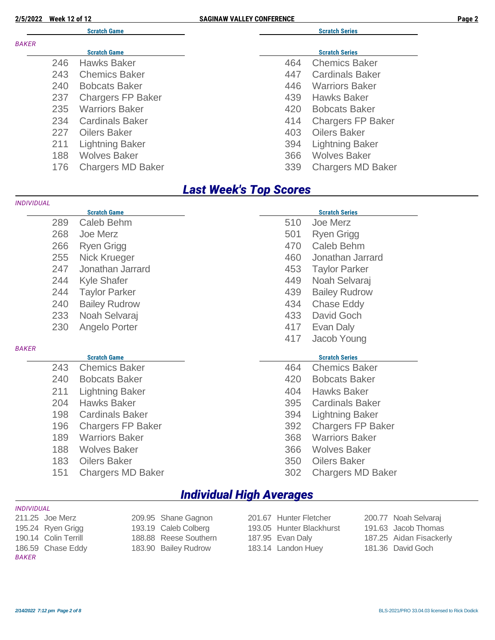| <b>Week 12 of 12</b><br>2/5/2022 |  |
|----------------------------------|--|
|----------------------------------|--|

*INDIVIDUAL*

**2/5/2022 Page 22 of 12 of 12 of 12 of 12 of 12 of 12 of 12 of 12 of 12 of 12 of 12 of 12 of 12 of 12 of 12 of 12 of 12 of 12 of 12 of 12 of 12 of 12 of 12 of 12 of 12 of 12 of 12 of 12 of 12 of 12 of 12 of 12 of 12 of 12** 

|              |     | <b>Scratch Game</b>      |     | <b>Scratch Series</b><br><b>Scratch Series</b><br><b>Chemics Baker</b><br>464<br><b>Cardinals Baker</b><br>447<br><b>Warriors Baker</b><br>446<br><b>Hawks Baker</b><br>439<br><b>Bobcats Baker</b><br>420<br><b>Chargers FP Baker</b><br>414<br><b>Oilers Baker</b><br>403<br><b>Lightning Baker</b><br>394<br><b>Wolves Baker</b><br>366 |  |  |  |
|--------------|-----|--------------------------|-----|--------------------------------------------------------------------------------------------------------------------------------------------------------------------------------------------------------------------------------------------------------------------------------------------------------------------------------------------|--|--|--|
| <b>BAKER</b> |     |                          |     |                                                                                                                                                                                                                                                                                                                                            |  |  |  |
|              |     | <b>Scratch Game</b>      |     |                                                                                                                                                                                                                                                                                                                                            |  |  |  |
|              | 246 | <b>Hawks Baker</b>       |     |                                                                                                                                                                                                                                                                                                                                            |  |  |  |
|              | 243 | <b>Chemics Baker</b>     |     |                                                                                                                                                                                                                                                                                                                                            |  |  |  |
|              | 240 | <b>Bobcats Baker</b>     |     |                                                                                                                                                                                                                                                                                                                                            |  |  |  |
|              | 237 | <b>Chargers FP Baker</b> |     |                                                                                                                                                                                                                                                                                                                                            |  |  |  |
|              | 235 | <b>Warriors Baker</b>    |     |                                                                                                                                                                                                                                                                                                                                            |  |  |  |
|              | 234 | <b>Cardinals Baker</b>   |     |                                                                                                                                                                                                                                                                                                                                            |  |  |  |
|              | 227 | <b>Oilers Baker</b>      |     |                                                                                                                                                                                                                                                                                                                                            |  |  |  |
|              | 211 | <b>Lightning Baker</b>   |     |                                                                                                                                                                                                                                                                                                                                            |  |  |  |
|              | 188 | <b>Wolves Baker</b>      |     |                                                                                                                                                                                                                                                                                                                                            |  |  |  |
|              | 176 | <b>Chargers MD Baker</b> | 339 | <b>Chargers MD Baker</b>                                                                                                                                                                                                                                                                                                                   |  |  |  |
|              |     |                          |     |                                                                                                                                                                                                                                                                                                                                            |  |  |  |

#### *Last Week's Top Scores*

| INDIVIDUAL   |     |                          |     |                          |
|--------------|-----|--------------------------|-----|--------------------------|
|              |     | <b>Scratch Game</b>      |     | <b>Scratch Series</b>    |
|              | 289 | Caleb Behm               | 510 | Joe Merz                 |
|              | 268 | Joe Merz                 | 501 | Ryen Grigg               |
|              | 266 | <b>Ryen Grigg</b>        | 470 | Caleb Behm               |
|              | 255 | Nick Krueger             | 460 | Jonathan Jarrard         |
|              | 247 | Jonathan Jarrard         | 453 | <b>Taylor Parker</b>     |
|              | 244 | <b>Kyle Shafer</b>       | 449 | Noah Selvaraj            |
|              | 244 | <b>Taylor Parker</b>     | 439 | <b>Bailey Rudrow</b>     |
|              | 240 | <b>Bailey Rudrow</b>     | 434 | <b>Chase Eddy</b>        |
|              | 233 | Noah Selvaraj            | 433 | David Goch               |
|              | 230 | Angelo Porter            | 417 | Evan Daly                |
|              |     |                          | 417 | Jacob Young              |
| <b>BAKER</b> |     |                          |     |                          |
|              |     | <b>Scratch Game</b>      |     | <b>Scratch Series</b>    |
|              | 243 | <b>Chemics Baker</b>     | 464 | <b>Chemics Baker</b>     |
|              | 240 | <b>Bobcats Baker</b>     | 420 | <b>Bobcats Baker</b>     |
|              | 211 | <b>Lightning Baker</b>   | 404 | <b>Hawks Baker</b>       |
|              | 204 | <b>Hawks Baker</b>       | 395 | <b>Cardinals Baker</b>   |
|              | 198 | <b>Cardinals Baker</b>   | 394 | <b>Lightning Baker</b>   |
|              | 196 | <b>Chargers FP Baker</b> | 392 | <b>Chargers FP Baker</b> |
|              | 189 | <b>Warriors Baker</b>    | 368 | <b>Warriors Baker</b>    |
|              | 188 | <b>Wolves Baker</b>      | 366 | <b>Wolves Baker</b>      |
|              | 183 | <b>Oilers Baker</b>      | 350 | <b>Oilers Baker</b>      |
|              | 151 | <b>Chargers MD Baker</b> | 302 | <b>Chargers MD Baker</b> |
|              |     |                          |     |                          |

### *Individual High Averages*

| INDIVIDUAL |  |
|------------|--|
|            |  |

186.59 Chase Eddy 183.90 Bailey Rudrow 183.14 Landon Huey 181.36 David Goch *BAKER*

211.25 Joe Merz 209.95 Shane Gagnon 201.67 Hunter Fletcher 200.77 Noah Selvaraj 195.24 Ryen Grigg 193.19 Caleb Colberg 193.05 Hunter Blackhurst 191.63 Jacob Thomas 190.14 Colin Terrill 188.88 Reese Southern 187.95 Evan Daly 187.25 Aidan Fisackerly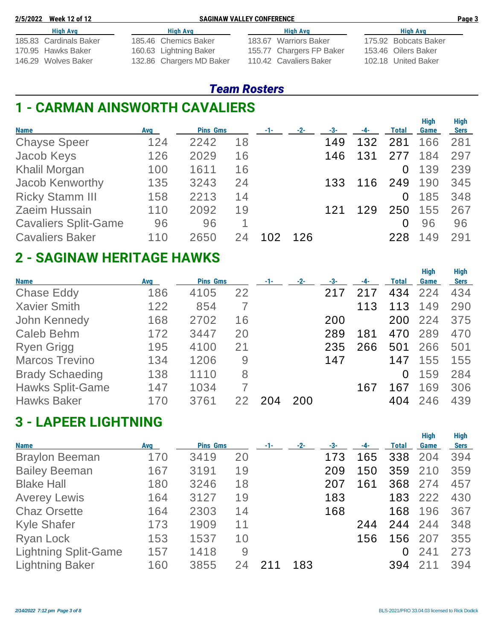| 2/5/2022 Week 12 of 12 | <b>SAGINAW VALLEY CONFERENCE</b> |                          |  | Page 3               |  |
|------------------------|----------------------------------|--------------------------|--|----------------------|--|
| <b>High Avg</b>        | Hiah Ava                         | High Avg                 |  |                      |  |
| 185.83 Cardinals Baker | 185.46 Chemics Baker             | 183.67 Warriors Baker    |  | 175.92 Bobcats Baker |  |
| 170.95 Hawks Baker     | 160.63 Lightning Baker           | 155.77 Chargers FP Baker |  | 153.46 Oilers Baker  |  |
| 146.29 Wolves Baker    | 132.86 Chargers MD Baker         | 110.42 Cavaliers Baker   |  | 102.18 United Baker  |  |

### *Team Rosters*

# **1 - CARMAN AINSWORTH CAVALIERS**

| <b>Name</b>                 | Avg | <b>Pins Gms</b> |    | $-1-$ | $-2-$ | -3- | $-4-$ | <b>Total</b> | <b>High</b><br>Game | <b>High</b><br><b>Sers</b> |
|-----------------------------|-----|-----------------|----|-------|-------|-----|-------|--------------|---------------------|----------------------------|
| <b>Chayse Speer</b>         | 124 | 2242            | 18 |       |       | 149 | 132   | 281          | 166                 | 281                        |
| Jacob Keys                  | 126 | 2029            | 16 |       |       | 146 | 131   | 277          | 184                 | 297                        |
| <b>Khalil Morgan</b>        | 100 | 1611            | 16 |       |       |     |       | 0            | 139                 | 239                        |
| Jacob Kenworthy             | 135 | 3243            | 24 |       |       | 133 | 116   | 249          | 190                 | 345                        |
| <b>Ricky Stamm III</b>      | 158 | 2213            | 14 |       |       |     |       | $\Omega$     | 185                 | 348                        |
| Zaeim Hussain               | 110 | 2092            | 19 |       |       |     | 129   | 250          | 155                 | 267                        |
| <b>Cavaliers Split-Game</b> | 96  | 96              |    |       |       |     |       | 0            | 96                  | 96                         |
| <b>Cavaliers Baker</b>      | 110 | 2650            | 24 |       | 126   |     |       | 228          | 149                 | 291                        |

## **2 - SAGINAW HERITAGE HAWKS**

| <b>Name</b>             | Avg | <b>Pins Gms</b> |    | $-1-$ | $-2-$ | -3- | -4- | Total | <b>High</b><br>Game | <b>High</b><br><b>Sers</b> |
|-------------------------|-----|-----------------|----|-------|-------|-----|-----|-------|---------------------|----------------------------|
| <b>Chase Eddy</b>       | 186 | 4105            | 22 |       |       |     |     | 434   | 224                 | 434                        |
| <b>Xavier Smith</b>     | 122 | 854             |    |       |       |     | 113 | 113   | 149                 | 290                        |
| John Kennedy            | 168 | 2702            | 16 |       |       | 200 |     | 200   | 224                 | 375                        |
| Caleb Behm              | 172 | 3447            | 20 |       |       | 289 | 181 | 470   | 289                 | 470                        |
| <b>Ryen Grigg</b>       | 195 | 4100            | 21 |       |       | 235 | 266 | 501   | 266                 | 501                        |
| <b>Marcos Trevino</b>   | 134 | 1206            | 9  |       |       | 147 |     | 147   | 155                 | 155                        |
| <b>Brady Schaeding</b>  | 138 | 1110            | 8  |       |       |     |     | 0     | 159                 | 284                        |
| <b>Hawks Split-Game</b> | 147 | 1034            |    |       |       |     | 167 | 67    | 169                 | 306                        |
| <b>Hawks Baker</b>      | 170 | 3761            |    |       | 200   |     |     | 404   | 246                 | 439                        |

## **3 - LAPEER LIGHTNING**

| <b>Name</b>                 | <b>Avg</b> | <b>Pins Gms</b> |    | $-1-$ | $-2-$ | -3- | -4- | <b>Total</b> | <b>High</b><br>Game | <b>High</b><br><b>Sers</b> |
|-----------------------------|------------|-----------------|----|-------|-------|-----|-----|--------------|---------------------|----------------------------|
| <b>Braylon Beeman</b>       | 170        | 3419            | 20 |       |       | 173 | 165 | 338          | 204                 | 394                        |
| <b>Bailey Beeman</b>        | 167        | 3191            | 19 |       |       | 209 | 150 | 359          | 210                 | 359                        |
| <b>Blake Hall</b>           | 180        | 3246            | 18 |       |       | 207 | 161 | 368          | 274                 | 457                        |
| <b>Averey Lewis</b>         | 164        | 3127            | 19 |       |       | 183 |     | 183          | 222                 | 430                        |
| <b>Chaz Orsette</b>         | 164        | 2303            | 14 |       |       | 168 |     | 168          | 196                 | 367                        |
| <b>Kyle Shafer</b>          | 173        | 1909            | 11 |       |       |     | 244 | 244          | 244                 | 348                        |
| Ryan Lock                   | 153        | 1537            | 10 |       |       |     | 156 | 156          | 207                 | 355                        |
| <b>Lightning Split-Game</b> | 157        | 1418            | 9  |       |       |     |     |              | 241                 | 273                        |
| <b>Lightning Baker</b>      | 160        | 3855            | 24 |       | 183   |     |     | 394          |                     | 394                        |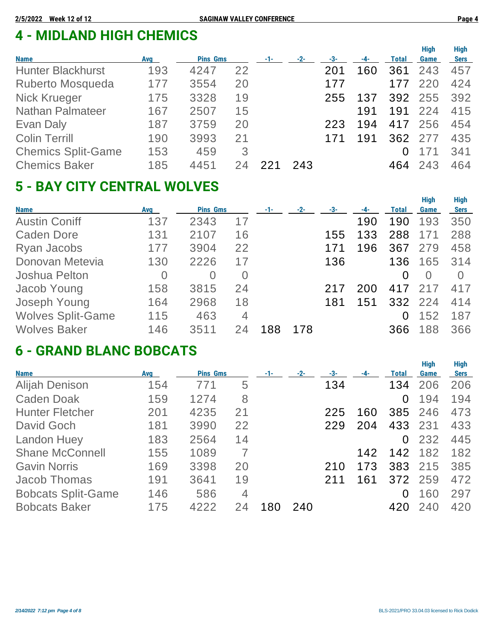# **4 - MIDLAND HIGH CHEMICS**

|                           |            |                 |    |       |       |     |     |              | <b>High</b> | <b>High</b> |
|---------------------------|------------|-----------------|----|-------|-------|-----|-----|--------------|-------------|-------------|
| <b>Name</b>               | <b>Avg</b> | <b>Pins Gms</b> |    | $-1-$ | $-2-$ | -3- | -4- | <b>Total</b> | Game        | <b>Sers</b> |
| <b>Hunter Blackhurst</b>  | 193        | 4247            | 22 |       |       | 201 | 160 | 361          | 243         | 457         |
| Ruberto Mosqueda          | 177        | 3554            | 20 |       |       | 177 |     | 177          | 220         | 424         |
| <b>Nick Krueger</b>       | 175        | 3328            | 19 |       |       | 255 | 137 |              | 392 255     | 392         |
| <b>Nathan Palmateer</b>   | 167        | 2507            | 15 |       |       |     | 191 | 191          | 224         | 415         |
| Evan Daly                 | 187        | 3759            | 20 |       |       | 223 | 194 | 417          | 256         | 454         |
| <b>Colin Terrill</b>      | 190        | 3993            | 21 |       |       |     | 191 | 362          | 277         | 435         |
| <b>Chemics Split-Game</b> | 153        | 459             | 3  |       |       |     |     |              |             | 341         |
| <b>Chemics Baker</b>      | 185        | 4451            | 24 |       | 243   |     |     | 464          | 243         | 464         |
|                           |            |                 |    |       |       |     |     |              |             |             |

# **5 - BAY CITY CENTRAL WOLVES**

|                          |     |                 |                |     |       |     |     |              | <b>High</b> | <b>High</b> |
|--------------------------|-----|-----------------|----------------|-----|-------|-----|-----|--------------|-------------|-------------|
| <b>Name</b>              | Avg | <b>Pins Gms</b> |                | -1- | $-2-$ | -3- | -4- | <b>Total</b> | Game        | <b>Sers</b> |
| <b>Austin Coniff</b>     | 137 | 2343            | 17             |     |       |     | 190 | 190          | 193         | 350         |
| <b>Caden Dore</b>        | 131 | 2107            | 16             |     |       | 155 | 133 | 288          |             | 288         |
| Ryan Jacobs              | 177 | 3904            | 22             |     |       | 171 | 196 | 367          | 279         | 458         |
| Donovan Metevia          | 130 | 2226            | 17             |     |       | 136 |     | 136          | 165         | 314         |
| Joshua Pelton            | 0   | $\overline{0}$  | $\overline{0}$ |     |       |     |     | $\Omega$     | $\Omega$    | $\Omega$    |
| Jacob Young              | 158 | 3815            | 24             |     |       | 217 | 200 | 417          | 217         | 417         |
| Joseph Young             | 164 | 2968            | 18             |     |       | 181 | 151 |              | 332 224     | 414         |
| <b>Wolves Split-Game</b> | 115 | 463             | 4              |     |       |     |     | 0            | 152         | 187         |
| <b>Wolves Baker</b>      | 146 | 3511            |                | 88  | 178   |     |     | 366          | 188         | 366         |

## **6 - GRAND BLANC BOBCATS**

|                           |            |                 |    |       |       |     |     |              | <b>High</b> | <b>High</b> |
|---------------------------|------------|-----------------|----|-------|-------|-----|-----|--------------|-------------|-------------|
| <b>Name</b>               | <b>Avg</b> | <b>Pins Gms</b> |    | $-1-$ | $-2-$ | -3- | -4- | <b>Total</b> | Game        | <b>Sers</b> |
| <b>Alijah Denison</b>     | 154        | 771             | 5  |       |       | 134 |     | 134          | 206         | 206         |
| <b>Caden Doak</b>         | 159        | 1274            | 8  |       |       |     |     | 0            | 194         | 194         |
| <b>Hunter Fletcher</b>    | 201        | 4235            | 21 |       |       | 225 | 160 | 385          | 246         | 473         |
| David Goch                | 181        | 3990            | 22 |       |       | 229 | 204 | 433          | 231         | 433         |
| <b>Landon Huey</b>        | 183        | 2564            | 14 |       |       |     |     | 0            | 232         | 445         |
| <b>Shane McConnell</b>    | 155        | 1089            | 7  |       |       |     | 142 | 142          | 182         | 182         |
| <b>Gavin Norris</b>       | 169        | 3398            | 20 |       |       | 210 | 173 | 383          | 215         | 385         |
| <b>Jacob Thomas</b>       | 191        | 3641            | 19 |       |       | 211 | 161 | 372          | 259         | 472         |
| <b>Bobcats Split-Game</b> | 146        | 586             | 4  |       |       |     |     | 0            | 160         | 297         |
| <b>Bobcats Baker</b>      | 175        | 4222            | 24 | 180   | 240   |     |     | 420          | 240         | 420         |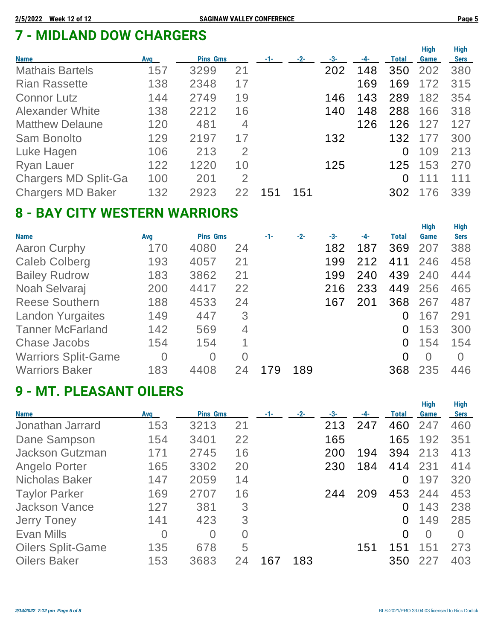# **7 - MIDLAND DOW CHARGERS**

| <b>Name</b>                 | Avg | <b>Pins Gms</b> |                | $-1-$ | $-2-$ | -3- | -4- | Total    | <b>High</b><br>Game | <b>High</b><br><b>Sers</b> |
|-----------------------------|-----|-----------------|----------------|-------|-------|-----|-----|----------|---------------------|----------------------------|
| <b>Mathais Bartels</b>      | 157 | 3299            | 21             |       |       | 202 | 148 | 350      | 202                 | 380                        |
| <b>Rian Rassette</b>        | 138 | 2348            | 17             |       |       |     | 169 | 169      | 172                 | 315                        |
| <b>Connor Lutz</b>          | 144 | 2749            | 19             |       |       | 146 | 143 | 289      | 182                 | 354                        |
| <b>Alexander White</b>      | 138 | 2212            | 16             |       |       | 140 | 148 | 288      | 166                 | 318                        |
| <b>Matthew Delaune</b>      | 120 | 481             | 4              |       |       |     | 126 | 126      | 127                 | 127                        |
| Sam Bonolto                 | 129 | 2197            | 17             |       |       | 132 |     | 132      | 177                 | 300                        |
| Luke Hagen                  | 106 | 213             | 2              |       |       |     |     | 0        | 109                 | 213                        |
| <b>Ryan Lauer</b>           | 122 | 1220            | 10             |       |       | 125 |     | 125      | 153                 | 270                        |
| <b>Chargers MD Split-Ga</b> | 100 | 201             | $\overline{2}$ |       |       |     |     | $\Omega$ | 111                 | 111                        |
| <b>Chargers MD Baker</b>    | 132 | 2923            |                | 151   | 151   |     |     | 302      | 176                 | 339                        |

# **8 - BAY CITY WESTERN WARRIORS**

| <b>Name</b>                | <b>Avg</b>     | <b>Pins Gms</b> |          | $-2-$ | -3- |     | Total    | <b>High</b><br>Game | <b>High</b><br><b>Sers</b> |
|----------------------------|----------------|-----------------|----------|-------|-----|-----|----------|---------------------|----------------------------|
| <b>Aaron Curphy</b>        | 170            | 4080            | 24       |       | 182 | 187 | 369      | 207                 | 388                        |
| <b>Caleb Colberg</b>       | 193            | 4057            | 21       |       | 199 | 212 | 411      | 246                 | 458                        |
| <b>Bailey Rudrow</b>       | 183            | 3862            | 21       |       | 199 | 240 | 439      | 240                 | 444                        |
| Noah Selvaraj              | 200            | 4417            | 22       |       | 216 | 233 | 449      | 256                 | 465                        |
| <b>Reese Southern</b>      | 188            | 4533            | 24       |       | 167 | 201 | 368      | 267                 | 487                        |
| <b>Landon Yurgaites</b>    | 149            | 447             | 3        |       |     |     | 0        | 167                 | 291                        |
| <b>Tanner McFarland</b>    | 142            | 569             | 4        |       |     |     | $\Omega$ | 153                 | 300                        |
| <b>Chase Jacobs</b>        | 154            | 154             |          |       |     |     | 0        | 154                 | 154                        |
| <b>Warriors Split-Game</b> | $\overline{0}$ | $\Omega$        | $\Omega$ |       |     |     | $\Omega$ | $\Omega$            | $\Omega$                   |
| <b>Warriors Baker</b>      | 183            | 4408            | 24       | 189   |     |     | 368      | 235                 | 446                        |

## **9 - MT. PLEASANT OILERS**

| <b>Name</b>              | Avg            | <b>Pins Gms</b> |          | -1- | $-2-$ | -3- | -4- | Total    | <b>High</b><br>Game | <b>High</b><br><b>Sers</b> |
|--------------------------|----------------|-----------------|----------|-----|-------|-----|-----|----------|---------------------|----------------------------|
| Jonathan Jarrard         | 153            | 3213            | 21       |     |       | 213 | 247 | 460      | 247                 | 460                        |
| Dane Sampson             | 154            | 3401            | 22       |     |       | 165 |     | 165      | 192                 | 351                        |
| <b>Jackson Gutzman</b>   | 171            | 2745            | 16       |     |       | 200 | 194 | 394      | 213                 | 413                        |
| Angelo Porter            | 165            | 3302            | 20       |     |       | 230 | 184 | 414      | 231                 | 414                        |
| <b>Nicholas Baker</b>    | 147            | 2059            | 14       |     |       |     |     | 0        | 197                 | 320                        |
| <b>Taylor Parker</b>     | 169            | 2707            | 16       |     |       | 244 | 209 | 453      | 244                 | 453                        |
| <b>Jackson Vance</b>     | 127            | 381             | 3        |     |       |     |     | 0        | 143                 | 238                        |
| <b>Jerry Toney</b>       | 141            | 423             | 3        |     |       |     |     | $\Omega$ | 149                 | 285                        |
| Evan Mills               | $\overline{0}$ | $\overline{0}$  | $\Omega$ |     |       |     |     | 0        | $\Omega$            | $\Omega$                   |
| <b>Oilers Split-Game</b> | 135            | 678             | 5        |     |       |     | 151 | 151      | 151                 | 273                        |
| <b>Oilers Baker</b>      | 153            | 3683            | 24       | 167 | 183   |     |     | 350      | 227                 | 403                        |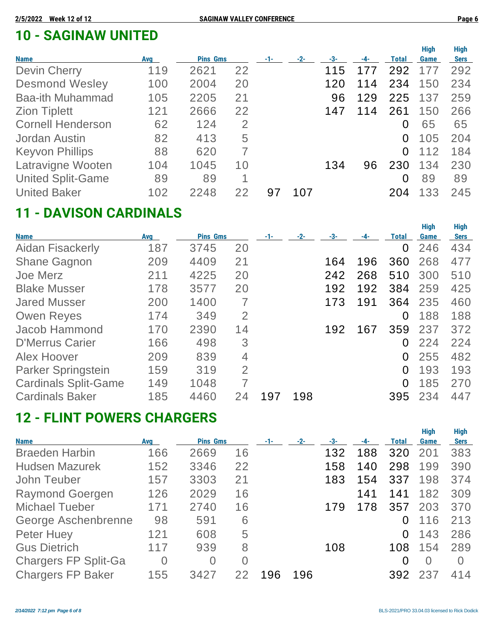# **10 - SAGINAW UNITED**

| <b>Name</b>              | Avg | <b>Pins Gms</b> |    | -1- | $-2-$ | -3- | -4- | Total    | <b>High</b><br>Game | <b>High</b><br><b>Sers</b> |
|--------------------------|-----|-----------------|----|-----|-------|-----|-----|----------|---------------------|----------------------------|
| <b>Devin Cherry</b>      | 119 | 2621            | 22 |     |       | 115 | 177 | 292      | 177                 | 292                        |
| <b>Desmond Wesley</b>    | 100 | 2004            | 20 |     |       | 120 | 114 | 234      | 150                 | 234                        |
| <b>Baa-ith Muhammad</b>  | 105 | 2205            | 21 |     |       | 96  | 129 | 225      | 137                 | 259                        |
| <b>Zion Tiplett</b>      | 121 | 2666            | 22 |     |       | 147 | 114 | 261      | 150                 | 266                        |
| <b>Cornell Henderson</b> | 62  | 124             | 2  |     |       |     |     | 0        | 65                  | 65                         |
| Jordan Austin            | 82  | 413             | 5  |     |       |     |     | 0        | 105                 | 204                        |
| <b>Keyvon Phillips</b>   | 88  | 620             |    |     |       |     |     | $\Omega$ | 112                 | 184                        |
| Latravigne Wooten        | 104 | 1045            | 10 |     |       | 134 | 96  | 230      | 134                 | 230                        |
| <b>United Split-Game</b> | 89  | 89              | 1  |     |       |     |     | $\Omega$ | 89                  | 89                         |
| <b>United Baker</b>      | 102 | 2248            | 22 | 97  | 107   |     |     | 204      | 133                 | 245                        |

## **11 - DAVISON CARDINALS**

|                             |            |                 |                |     |       |     |     |              | <b>High</b> | <b>High</b> |
|-----------------------------|------------|-----------------|----------------|-----|-------|-----|-----|--------------|-------------|-------------|
| <b>Name</b>                 | <b>Avg</b> | <b>Pins Gms</b> |                | -1- | $-2-$ | -3- | -4- | <b>Total</b> | Game        | <b>Sers</b> |
| <b>Aidan Fisackerly</b>     | 187        | 3745            | 20             |     |       |     |     | $\Omega$     | 246         | 434         |
| <b>Shane Gagnon</b>         | 209        | 4409            | 21             |     |       | 164 | 196 | 360          | 268         | 477         |
| Joe Merz                    | 211        | 4225            | 20             |     |       | 242 | 268 | 510          | 300         | 510         |
| <b>Blake Musser</b>         | 178        | 3577            | 20             |     |       | 192 | 192 | 384          | 259         | 425         |
| <b>Jared Musser</b>         | 200        | 1400            | 7              |     |       | 173 | 191 | 364          | 235         | 460         |
| <b>Owen Reyes</b>           | 174        | 349             | $\overline{2}$ |     |       |     |     | 0            | 188         | 188         |
| <b>Jacob Hammond</b>        | 170        | 2390            | 14             |     |       | 192 | 167 | 359          | 237         | 372         |
| <b>D'Merrus Carier</b>      | 166        | 498             | 3              |     |       |     |     | 0            | 224         | 224         |
| Alex Hoover                 | 209        | 839             | $\overline{4}$ |     |       |     |     | $\Omega$     | 255         | 482         |
| Parker Springstein          | 159        | 319             | $\overline{2}$ |     |       |     |     | $\Omega$     | 193         | 193         |
| <b>Cardinals Split-Game</b> | 149        | 1048            | 7              |     |       |     |     | $\Omega$     | 185         | 270         |
| <b>Cardinals Baker</b>      | 185        | 4460            | 24             | 197 | 198   |     |     | 395          | 234         | 447         |

# **12 - FLINT POWERS CHARGERS**

| <b>Name</b>                 | <b>Avg</b>     | <b>Pins Gms</b> |          | $-1-$ | $-2-$ | -3- | -4- | <b>Total</b> | <b>High</b><br>Game | <b>High</b><br><b>Sers</b> |
|-----------------------------|----------------|-----------------|----------|-------|-------|-----|-----|--------------|---------------------|----------------------------|
| <b>Braeden Harbin</b>       | 166            | 2669            | 16       |       |       | 132 | 188 | 320          | 201                 | 383                        |
| <b>Hudsen Mazurek</b>       | 152            | 3346            | 22       |       |       | 158 | 140 | 298          | 199                 | 390                        |
| John Teuber                 | 157            | 3303            | 21       |       |       | 183 | 154 | 337          | 198                 | 374                        |
| <b>Raymond Goergen</b>      | 126            | 2029            | 16       |       |       |     | 141 | 141          | 182                 | 309                        |
| <b>Michael Tueber</b>       | 171            | 2740            | 16       |       |       | 179 | 178 | 357          | 203                 | 370                        |
| George Aschenbrenne         | 98             | 591             | 6        |       |       |     |     |              | 116                 | 213                        |
| Peter Huey                  | 121            | 608             | 5        |       |       |     |     | 0            | 143                 | 286                        |
| <b>Gus Dietrich</b>         | 117            | 939             | 8        |       |       | 108 |     | 108          | 154                 | 289                        |
| <b>Chargers FP Split-Ga</b> | $\overline{0}$ | $\Omega$        | $\Omega$ |       |       |     |     | 0            | $\Omega$            |                            |
| <b>Chargers FP Baker</b>    | 155            | 3427            |          | 196   | 196   |     |     | 392          | 237                 | 414                        |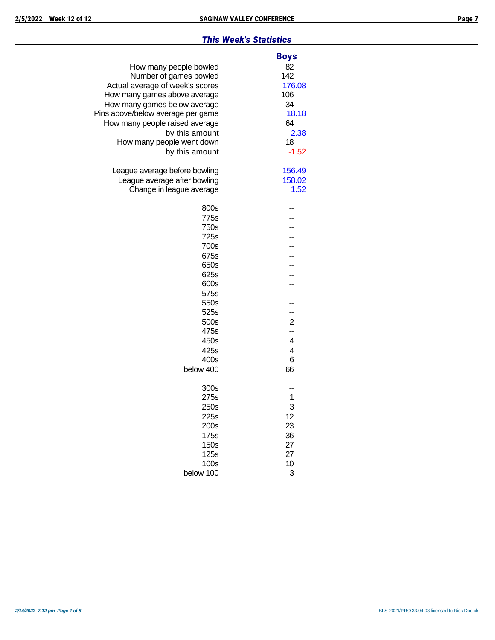#### *This Week's Statistics*

|                                   | <b>Boys</b>    |
|-----------------------------------|----------------|
| How many people bowled            | 82             |
| Number of games bowled            | 142            |
| Actual average of week's scores   | 176.08         |
| How many games above average      | 106            |
| How many games below average      | 34             |
| Pins above/below average per game | 18.18          |
| How many people raised average    | 64             |
| by this amount                    | 2.38           |
| How many people went down         | 18             |
| by this amount                    | $-1.52$        |
| League average before bowling     | 156.49         |
| League average after bowling      | 158.02         |
| Change in league average          | 1.52           |
| 800s                              |                |
| 775s                              |                |
| 750s                              |                |
| 725s                              |                |
| 700s                              |                |
| 675s                              |                |
| 650s                              |                |
| 625s                              |                |
| 600s                              |                |
| 575s                              |                |
| 550s                              |                |
| 525s                              | -              |
| 500s                              | $\overline{c}$ |
| 475s                              | -              |
| 450s                              | 4              |
| 425s                              | 4              |
| 400s                              | 6              |
| below 400                         | 66             |
| 300s                              |                |
| 275s                              | 1              |
| 250s                              | 3              |
| 225s                              | 12             |
| 200s                              | 23             |
| 175s                              | 36             |
| 150s                              | 27             |
| 125s                              | 27             |
| 100s                              | 10             |
| below 100                         | 3              |